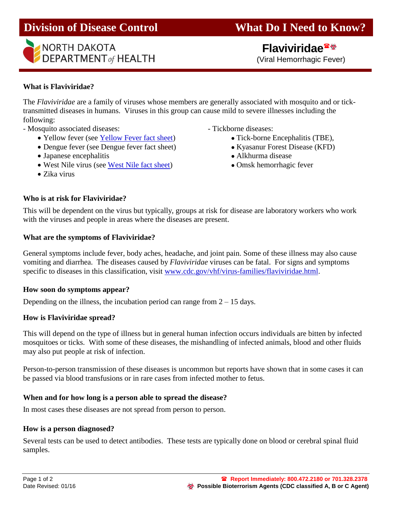



 **Flaviviridae** (Viral Hemorrhagic Fever)

# **What is Flaviviridae?**

The *Flaviviridae* are a family of viruses whose members are generally associated with mosquito and or ticktransmitted diseases in humans. Viruses in this group can cause mild to severe illnesses including the following:

- Mosquito associated diseases:  $-$  Tickborne diseases:

- Yellow fever (see [Yellow Fever fact sheet\)](http://www.ndhealth.gov/Disease/Documents/faqs/YellowFever.pdf) Tick-borne Encephalitis (TBE),
- Dengue fever (see Dengue fever fact sheet) Kyasanur Forest Disease (KFD)
- Japanese encephalitis Alkhurma disease

**Who is at risk for Flaviviridae?** 

- West Nile virus (see [West Nile fact sheet\)](http://www.ndhealth.gov/Disease/Documents/faqs/WestNileVirus.pdf) Omsk hemorrhagic fever
- Zika virus

- 
- 
- 
- 

This will be dependent on the virus but typically, groups at risk for disease are laboratory workers who work with the viruses and people in areas where the diseases are present.

## **What are the symptoms of Flaviviridae?**

General symptoms include fever, body aches, headache, and joint pain. Some of these illness may also cause vomiting and diarrhea. The diseases caused by *Flaviviridae* viruses can be fatal. For signs and symptoms specific to diseases in this classification, visit [www.cdc.gov/vhf/virus-families/flaviviridae.html.](http://www.cdc.gov/vhf/virus-families/flaviviridae.html)

## **How soon do symptoms appear?**

Depending on the illness, the incubation period can range from  $2 - 15$  days.

## **How is Flaviviridae spread?**

This will depend on the type of illness but in general human infection occurs individuals are bitten by infected mosquitoes or ticks. With some of these diseases, the mishandling of infected animals, blood and other fluids may also put people at risk of infection.

Person-to-person transmission of these diseases is uncommon but reports have shown that in some cases it can be passed via blood transfusions or in rare cases from infected mother to fetus.

## **When and for how long is a person able to spread the disease?**

In most cases these diseases are not spread from person to person.

## **How is a person diagnosed?**

Several tests can be used to detect antibodies. These tests are typically done on blood or cerebral spinal fluid samples.